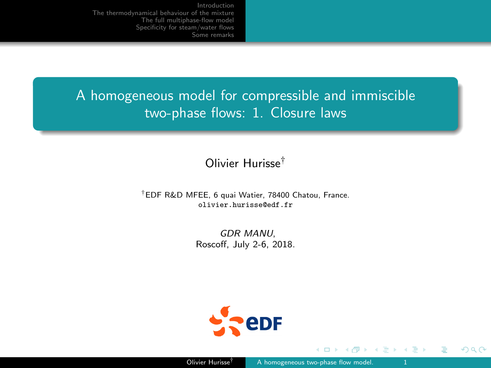<span id="page-0-0"></span>A homogeneous model for compressible and immiscible two-phase flows: 1. Closure laws

# Olivier Hurisse†

### †EDF R&D MFEE, 6 quai Watier, 78400 Chatou, France. olivier.hurisse@edf.fr

GDR MANU, Roscoff, July 2-6, 2018.



つへへ

∍∍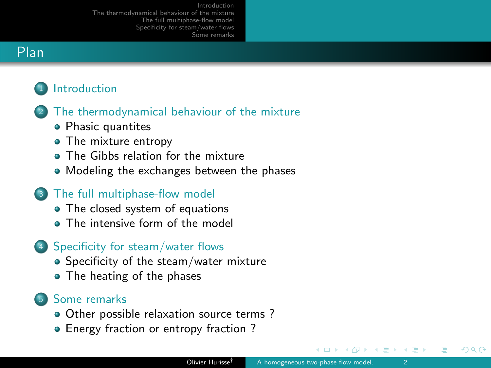# Plan

# **[Introduction](#page-2-0)**



- [Phasic quantites](#page-5-0)
- [The mixture entropy](#page-8-0)
- **[The Gibbs relation for the mixture](#page-10-0)**
- [Modeling the exchanges between the phases](#page-14-0)
- <sup>3</sup> [The full multiphase-flow model](#page-18-0)
	- [The closed system of equations](#page-19-0)
	- **[The intensive form of the model](#page-21-0)**
- <sup>4</sup> [Specificity for steam/water flows](#page-26-0)
	- [Specificity of the steam/water mixture](#page-27-0)
	- [The heating of the phases](#page-31-0)

### <sup>5</sup> [Some remarks](#page-34-0)

- [Other possible relaxation source terms ?](#page-35-0)
- Energy fraction or entropy fraction?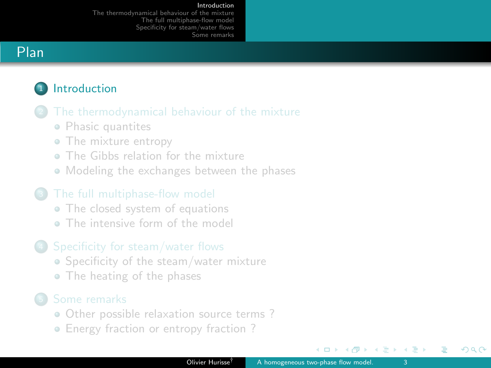### [Introduction](#page-2-0)

[The thermodynamical behaviour of the mixture](#page-4-0) [The full multiphase-flow model](#page-18-0) [Specificity for steam/water flows](#page-26-0) [Some remarks](#page-34-0)

# <span id="page-2-0"></span>Plan

# **1** [Introduction](#page-2-0)



- [Phasic quantites](#page-5-0)
- [The mixture entropy](#page-8-0)
- [The Gibbs relation for the mixture](#page-10-0)
- [Modeling the exchanges between the phases](#page-14-0)

- [The closed system of equations](#page-19-0)
- **[The intensive form of the model](#page-21-0)**

### <sup>4</sup> [Specificity for steam/water flows](#page-26-0)

- [Specificity of the steam/water mixture](#page-27-0)
- [The heating of the phases](#page-31-0)

- [Other possible relaxation source terms ?](#page-35-0)
- [Energy fraction or entropy fraction ?](#page-41-0)

 $\Box$ 

ほう メラう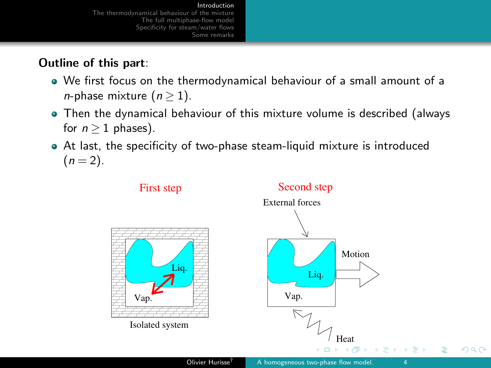### [Introduction](#page-2-0)

<span id="page-3-0"></span>[The thermodynamical behaviour of the mixture](#page-4-0) [The full multiphase-flow model](#page-18-0) [Specificity for steam/water flows](#page-26-0) [Some remarks](#page-34-0)

# Outline of this part:

- We first focus on the thermodynamical behaviour of a small amount of a *n*-phase mixture  $(n \geq 1)$ .
- Then the dynamical behaviour of this mixture volume is described (always for  $n > 1$  phases).
- At last, the specificity of two-phase steam-liquid mixture is introduced  $(n = 2)$ .

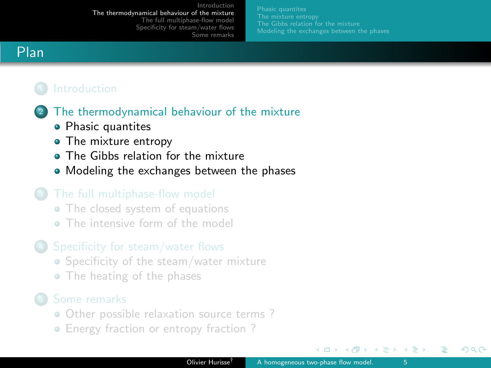[Modeling the exchanges between the phases](#page-14-0)

# <span id="page-4-0"></span>Plan



- [Phasic quantites](#page-5-0)
- [The mixture entropy](#page-8-0)
- **[The Gibbs relation for the mixture](#page-10-0)**
- [Modeling the exchanges between the phases](#page-14-0)

- [The closed system of equations](#page-19-0)
- **[The intensive form of the model](#page-21-0)**

### <sup>4</sup> [Specificity for steam/water flows](#page-26-0)

- [Specificity of the steam/water mixture](#page-27-0)
- [The heating of the phases](#page-31-0)

- [Other possible relaxation source terms ?](#page-35-0)
- Energy fraction or entropy fraction?

 $\leftarrow$   $\Box$ 

ほう メラう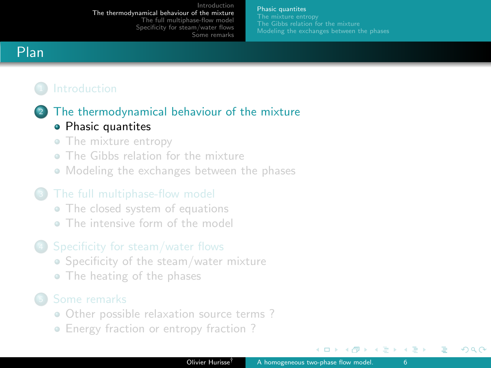### [Phasic quantites](#page-5-0)

[Modeling the exchanges between the phases](#page-14-0)

# <span id="page-5-0"></span>Plan

## <sup>2</sup> [The thermodynamical behaviour of the mixture](#page-4-0)

### • [Phasic quantites](#page-5-0)

- [The mixture entropy](#page-8-0)
- [The Gibbs relation for the mixture](#page-10-0)
- [Modeling the exchanges between the phases](#page-14-0)

- [The closed system of equations](#page-19-0)
- **[The intensive form of the model](#page-21-0)**

### <sup>4</sup> [Specificity for steam/water flows](#page-26-0)

- [Specificity of the steam/water mixture](#page-27-0)
- [The heating of the phases](#page-31-0)

- [Other possible relaxation source terms ?](#page-35-0)
- [Energy fraction or entropy fraction ?](#page-41-0)

 $\leftarrow$   $\Box$ 

イヨメ イヨメ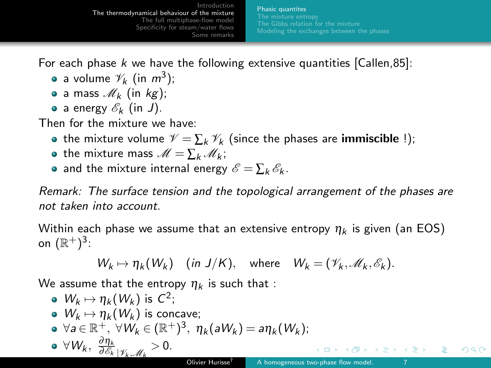[Phasic quantites](#page-5-0) [Modeling the exchanges between the phases](#page-14-0)

For each phase k we have the following extensive quantities  $[Callen, 85]$ :

- a volume  $\mathscr{V}_k$  (in  $m^3$ );
- a mass  $\mathcal{M}_k$  (in kg);
- a energy  $\mathscr{E}_k$  (in J).

Then for the mixture we have:

- the mixture volume  $\mathcal{V} = \sum_k \mathcal{V}_k$  (since the phases are **immiscible** !);
- the mixture mass  $\mathcal{M} = \sum_{k} \mathcal{M}_{k}$ ;
- and the mixture internal energy  $\mathscr{E} = \sum_k \mathscr{E}_k$ .

Remark: The surface tension and the topological arrangement of the phases are not taken into account.

Within each phase we assume that an extensive entropy  $\eta_k$  is given (an EOS) on  $(\mathbb{R}^+)^3$ :

$$
W_k \mapsto \eta_k(W_k) \quad (\text{in } J/K), \quad \text{where} \quad W_k = (\mathscr{V}_k, \mathscr{M}_k, \mathscr{E}_k).
$$

We assume that the entropy  $n_k$  is such that :

\n- \n
$$
W_k \mapsto \eta_k(W_k)
$$
 is  $C^2$ ;\n
\n- \n $W_k \mapsto \eta_k(W_k)$  is concave;\n
\n- \n $\forall a \in \mathbb{R}^+, \forall W_k \in (\mathbb{R}^+)^3, \eta_k(aW_k) = a\eta_k(W_k);$ \n
\n- \n $\forall W_k, \frac{\partial \eta_k}{\partial \mathcal{E}_k} \mid \mathcal{V}_k \mathcal{M}_k > 0.$ \n
\n- \n Oliver Hurisse<sup>†</sup>

\n
\n- \n A homogeneous two-phase flow model.\n \n
\n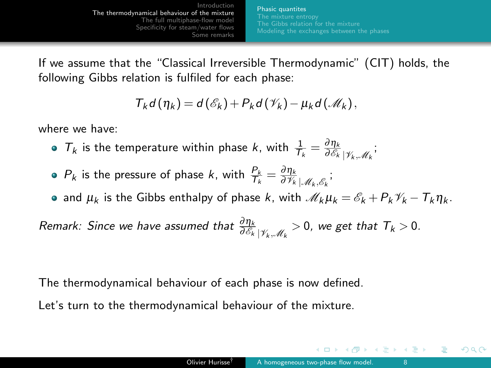[Phasic quantites](#page-5-0) [Modeling the exchanges between the phases](#page-14-0)

If we assume that the "Classical Irreversible Thermodynamic" (CIT) holds, the following Gibbs relation is fulfiled for each phase:

$$
T_k d(\eta_k) = d(\mathscr{E}_k) + P_k d(\mathscr{V}_k) - \mu_k d(\mathscr{M}_k),
$$

where we have:

- $T_k$  is the temperature within phase k, with  $\frac{1}{T_k} = \frac{\partial \eta_k}{\partial \mathscr{E}_k} | \gamma_k, \mathscr{M}_k |$
- $P_k$  is the pressure of phase k, with  $\frac{P_k}{T_k} = \frac{\partial \eta_k}{\partial \mathcal{V}_k} \mathcal{J}_{k,\beta_k}$ ;
- and  $\mu_k$  is the Gibbs enthalpy of phase k, with  $\mathcal{M}_k \mu_k = \mathcal{E}_k + P_k \mathcal{V}_k T_k \eta_k$ .

Remark: Since we have assumed that  $\frac{\partial \eta_k}{\partial \mathscr{E}_k}|_{\mathscr{V}_k,\mathscr{M}_k}>0$ , we get that  $T_k>0$ .

The thermodynamical behaviour of each phase is now defined.

Let's turn to the thermodynamical behaviour of the mixture.

 $\leftarrow$   $\Box$ 

医单位 医单位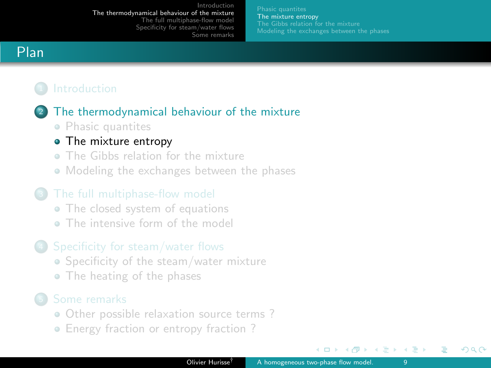[The mixture entropy](#page-8-0) [Modeling the exchanges between the phases](#page-14-0)

# <span id="page-8-0"></span>Plan

# <sup>2</sup> [The thermodynamical behaviour of the mixture](#page-4-0)

• [Phasic quantites](#page-5-0)

### • [The mixture entropy](#page-8-0)

- [The Gibbs relation for the mixture](#page-10-0)
- [Modeling the exchanges between the phases](#page-14-0)

- [The closed system of equations](#page-19-0)
- **[The intensive form of the model](#page-21-0)**

## <sup>4</sup> [Specificity for steam/water flows](#page-26-0)

- [Specificity of the steam/water mixture](#page-27-0)
- [The heating of the phases](#page-31-0)

- [Other possible relaxation source terms ?](#page-35-0)
- [Energy fraction or entropy fraction ?](#page-41-0)

 $\leftarrow$   $\Box$ 

イヨメ イヨメ

つへへ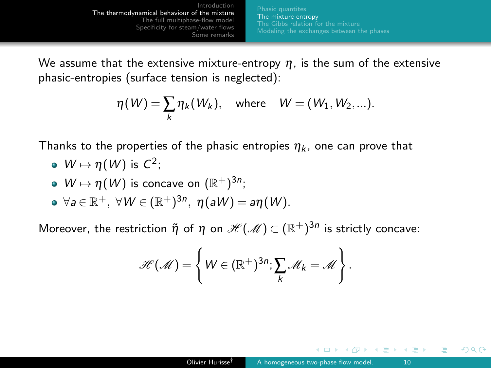[The mixture entropy](#page-8-0) [Modeling the exchanges between the phases](#page-14-0)

We assume that the extensive mixture-entropy  $\eta$ , is the sum of the extensive phasic-entropies (surface tension is neglected):

$$
\eta(W) = \sum_{k} \eta_k(W_k), \quad \text{where} \quad W = (W_1, W_2, \ldots).
$$

Thanks to the properties of the phasic entropies  $\eta_k$ , one can prove that

- $W \mapsto \eta(W)$  is  $C^2$ ;
- $W \mapsto \eta(W)$  is concave on  $(\mathbb{R}^+)^{3n}$ ;
- $\forall a \in \mathbb{R}^+, \ \forall W \in (\mathbb{R}^+)^{3n}, \ \eta(aW) = a\eta(W).$

Moreover, the restriction  $\tilde\eta$  of  $\eta$  on  $\mathscr{H}(\mathscr{M})\subset (\mathbb{R}^+)^{3n}$  is strictly concave:

$$
\mathscr{H}(\mathscr{M}) = \left\{ W \in (\mathbb{R}^+)^{3n}; \sum_k \mathscr{M}_k = \mathscr{M} \right\}.
$$

 $\leftarrow$   $\Box$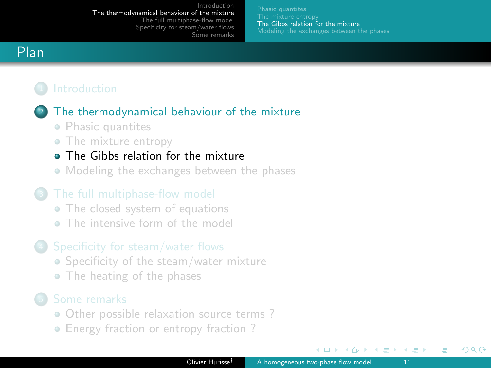[The Gibbs relation for the mixture](#page-10-0) [Modeling the exchanges between the phases](#page-14-0)

# <span id="page-10-0"></span>Plan



### <sup>2</sup> [The thermodynamical behaviour of the mixture](#page-4-0)

- [Phasic quantites](#page-5-0)
- [The mixture entropy](#page-8-0)

### **• [The Gibbs relation for the mixture](#page-10-0)**

• [Modeling the exchanges between the phases](#page-14-0)

- [The closed system of equations](#page-19-0)
- **[The intensive form of the model](#page-21-0)**

### <sup>4</sup> [Specificity for steam/water flows](#page-26-0)

- [Specificity of the steam/water mixture](#page-27-0)
- [The heating of the phases](#page-31-0)

- [Other possible relaxation source terms ?](#page-35-0)
- [Energy fraction or entropy fraction ?](#page-41-0)

 $\leftarrow$   $\Box$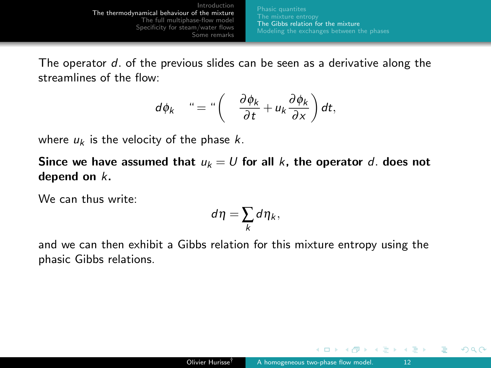[The Gibbs relation for the mixture](#page-10-0) [Modeling the exchanges between the phases](#page-14-0)

The operator d. of the previous slides can be seen as a derivative along the streamlines of the flow:

$$
d\phi_k \quad " = " \left( \frac{\partial \phi_k}{\partial t} + u_k \frac{\partial \phi_k}{\partial x} \right) dt,
$$

where  $u_k$  is the velocity of the phase k.

Since we have assumed that  $u_k = U$  for all k, the operator d. does not depend on k.

We can thus write:

$$
d\eta = \sum_k d\eta_k,
$$

and we can then exhibit a Gibbs relation for this mixture entropy using the phasic Gibbs relations.

 $\leftarrow$   $\Box$ 

ヨメ メヨメ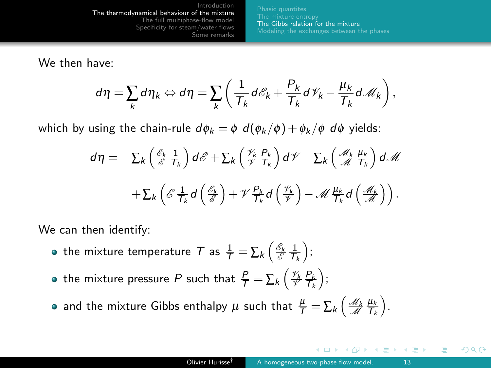[The Gibbs relation for the mixture](#page-10-0) [Modeling the exchanges between the phases](#page-14-0)

We then have:

$$
d\eta = \sum_{k} d\eta_{k} \Leftrightarrow d\eta = \sum_{k} \left( \frac{1}{\mathcal{T}_{k}} d\mathcal{E}_{k} + \frac{P_{k}}{\mathcal{T}_{k}} d\mathcal{V}_{k} - \frac{\mu_{k}}{\mathcal{T}_{k}} d\mathcal{M}_{k} \right),
$$

which by using the chain-rule  $d\phi_k = \phi \, d(\phi_k / \phi) + \phi_k / \phi \, d\phi$  yields:

$$
d\eta = \sum_{k} \left( \frac{\mathscr{E}_{k}}{\mathscr{E}} \frac{1}{T_{k}} \right) d\mathscr{E} + \sum_{k} \left( \frac{\mathscr{V}_{k}}{\mathscr{V}} \frac{P_{k}}{T_{k}} \right) d\mathscr{V} - \sum_{k} \left( \frac{\mathscr{M}_{k}}{\mathscr{M}} \frac{\mu_{k}}{T_{k}} \right) d\mathscr{M}
$$

$$
+ \sum_{k} \left( \mathscr{E} \frac{1}{T_{k}} d \left( \frac{\mathscr{E}_{k}}{\mathscr{E}} \right) + \mathscr{V} \frac{P_{k}}{T_{k}} d \left( \frac{\mathscr{V}_{k}}{\mathscr{V}} \right) - \mathscr{M} \frac{\mu_{k}}{T_{k}} d \left( \frac{\mathscr{M}_{k}}{\mathscr{M}} \right) \right).
$$

We can then identify:

- the mixture temperature  $\mathcal T$  as  $\frac{1}{\mathcal T} = \sum_k \left( \frac{\mathscr E_k}{\mathscr E} \frac{1}{\mathcal T_k} \right);$
- the mixture pressure  $P$  such that  $\frac{P}{\mathcal{T}} = \sum_k \left( \frac{\mathscr{V}_k}{\mathscr{V}} \frac{P_k}{\mathcal{T}_k} \right);$

and the mixture Gibbs enthalpy  $\mu$  such that  $\frac{\mu}{\tau} = \sum_{k} \left( \frac{\mathcal{M}_k}{\mathcal{M}} \frac{\mu_k}{\mathcal{T}_k} \right)$ .

 $\leftarrow$   $\Box$ 

つへへ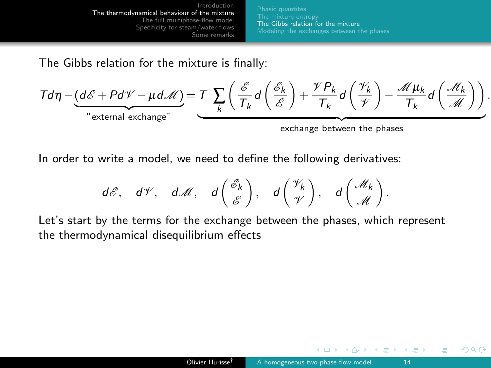[The Gibbs relation for the mixture](#page-10-0) [Modeling the exchanges between the phases](#page-14-0)

The Gibbs relation for the mixture is finally:

$$
\mathcal{T}d\eta - \underbrace{(d\mathscr{E} + P d\mathscr{V} - \mu d\mathscr{M})}_{\text{"external exchange"}} = \underbrace{\mathcal{T}\sum_{k} \left(\frac{\mathscr{E}}{\mathcal{T}_k} d\left(\frac{\mathscr{E}_k}{\mathscr{E}}\right) + \frac{\mathscr{V}P_k}{\mathcal{T}_k} d\left(\frac{\mathscr{V}_k}{\mathscr{V}}\right) - \frac{\mathscr{M}\mu_k}{\mathcal{T}_k} d\left(\frac{\mathscr{M}_k}{\mathscr{M}}\right)\right)}_{\text{exchange between the phases}}.
$$

In order to write a model, we need to define the following derivatives:

$$
d\mathscr{E}
$$
,  $d\mathscr{V}$ ,  $d\mathscr{M}$ ,  $d\left(\frac{\mathscr{E}_k}{\mathscr{E}}\right)$ ,  $d\left(\frac{\mathscr{V}_k}{\mathscr{V}}\right)$ ,  $d\left(\frac{\mathscr{M}_k}{\mathscr{M}}\right)$ .

Let's start by the terms for the exchange between the phases, which represent the thermodynamical disequilibrium effects

 $\leftarrow$   $\Box$ 

ヨメ イヨメ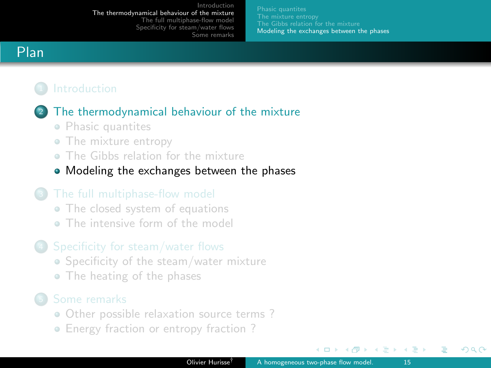[Modeling the exchanges between the phases](#page-14-0)

# <span id="page-14-0"></span>Plan



# [The thermodynamical behaviour of the mixture](#page-4-0)

- [Phasic quantites](#page-5-0)
- [The mixture entropy](#page-8-0)
- [The Gibbs relation for the mixture](#page-10-0)
- [Modeling the exchanges between the phases](#page-14-0)

- [The closed system of equations](#page-19-0)
- **[The intensive form of the model](#page-21-0)**

## <sup>4</sup> [Specificity for steam/water flows](#page-26-0)

- [Specificity of the steam/water mixture](#page-27-0)
- [The heating of the phases](#page-31-0)

- [Other possible relaxation source terms ?](#page-35-0)
- Energy fraction or entropy fraction?

 $\leftarrow$   $\Box$ 

イヨメ イヨメ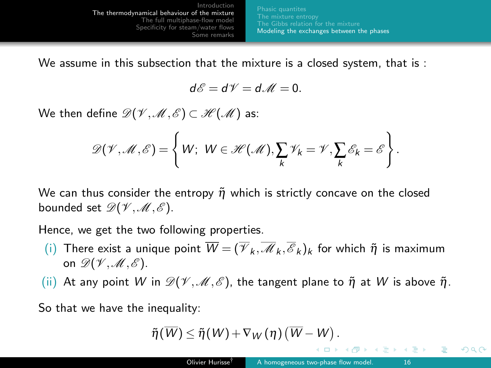[Introduction](#page-2-0) [The thermodynamical behaviour of the mixture](#page-4-0) [The full multiphase-flow model](#page-18-0) [Specificity for steam/water flows](#page-26-0) [Some remarks](#page-34-0) [Modeling the exchanges between the phases](#page-14-0)

We assume in this subsection that the mixture is a closed system, that is :

$$
d\mathscr{E}=d\mathscr{V}=d\mathscr{M}=0.
$$

We then define  $\mathscr{D}(\mathscr{V},\mathscr{M},\mathscr{E})\subset\mathscr{H}(\mathscr{M})$  as:

$$
\mathscr{D}(\mathscr{V},\mathscr{M},\mathscr{E})=\left\{W;\ W\in\mathscr{H}(\mathscr{M}), \sum_{k}\mathscr{V}_{k}=\mathscr{V}, \sum_{k}\mathscr{E}_{k}=\mathscr{E}\right\}.
$$

We can thus consider the entropy  $\tilde{\eta}$  which is strictly concave on the closed bounded set  $\mathscr{D}(\mathscr{V},\mathscr{M},\mathscr{E})$ .

Hence, we get the two following properties.

- (i) There exist a unique point  $\overline{W} = (\overline{\mathcal{V}}_k, \overline{\mathcal{M}}_k, \overline{\mathcal{E}}_k)_k$  for which  $\tilde{\eta}$  is maximum on  $\mathscr{D}(\mathscr{V},\mathscr{M},\mathscr{E})$ .
- (ii) At any point W in  $\mathscr{D}(\mathscr{V},\mathscr{M},\mathscr{E})$ , the tangent plane to  $\tilde{\eta}$  at W is above  $\tilde{\eta}$ .

So that we have the inequality:

$$
\tilde{\eta}(\overline{W}) \leq \tilde{\eta}(W) + \nabla_W(\eta) (\overline{W} - W).
$$

つへへ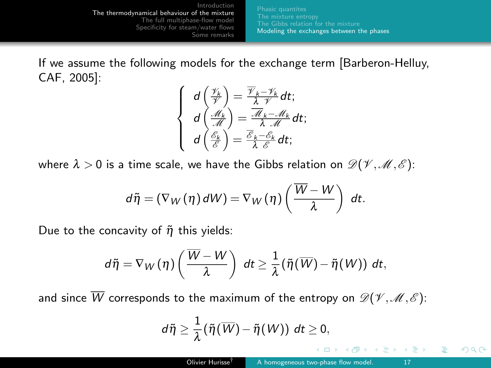[Modeling the exchanges between the phases](#page-14-0)

If we assume the following models for the exchange term [Barberon-Helluy, CAF, 2005]:

$$
\begin{cases}\n d\left(\frac{\mathscr{V}_k}{\mathscr{V}}\right) = \frac{\overline{\mathscr{V}}_k - \mathscr{V}_k}{\lambda \mathscr{V}} dt; \\
 d\left(\frac{\mathscr{M}_k}{\mathscr{M}}\right) = \frac{\overline{\mathscr{M}}_k - \mathscr{M}_k}{\lambda \mathscr{M}} dt; \\
 d\left(\frac{\mathscr{E}_k}{\mathscr{E}}\right) = \frac{\overline{\mathscr{E}}_k - \mathscr{E}_k}{\lambda \mathscr{E}} dt;\n\end{cases}
$$

where  $\lambda > 0$  is a time scale, we have the Gibbs relation on  $\mathscr{D}(\mathscr{V}, \mathscr{M}, \mathscr{E})$ :

$$
d\tilde{\eta} = (\nabla_W(\eta) dW) = \nabla_W(\eta) \left( \frac{\overline{W} - W}{\lambda} \right) dt.
$$

Due to the concavity of  $\tilde{\eta}$  this yields:

$$
d\widetilde{\eta}=\nabla_W(\eta)\left(\frac{\overline{W}-W}{\lambda}\right) dt \geq \frac{1}{\lambda}(\widetilde{\eta}(\overline{W})-\widetilde{\eta}(W)) dt,
$$

and since  $\overline{W}$  corresponds to the maximum of the entropy on  $\mathscr{D}(\mathscr{V},\mathscr{M},\mathscr{E})$ :

$$
d\widetilde{\eta}\geq \frac{1}{\lambda}(\widetilde{\eta}(\overline{W})-\widetilde{\eta}(W))\ dt\geq 0,
$$

 $\leftarrow$   $\Box$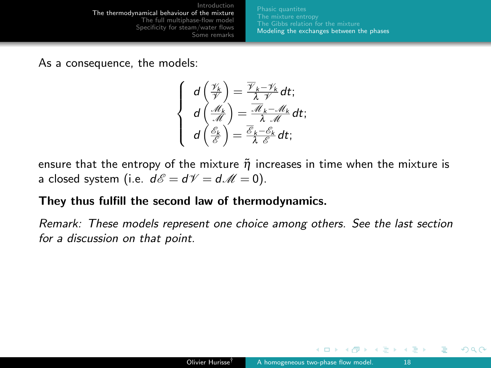[Modeling the exchanges between the phases](#page-14-0)

As a consequence, the models:

$$
\begin{cases}\n d\left(\frac{\mathscr{V}_k}{\mathscr{V}}\right) = \frac{\overline{\mathscr{V}}_k - \mathscr{V}_k}{\lambda \mathscr{V}} dt; \\
 d\left(\frac{\mathscr{M}_k}{\mathscr{M}}\right) = \frac{\overline{\mathscr{M}}_k - \mathscr{M}_k}{\lambda \mathscr{M}} dt; \\
 d\left(\frac{\mathscr{E}_k}{\mathscr{E}}\right) = \frac{\overline{\mathscr{E}}_k - \mathscr{E}_k}{\lambda \mathscr{E}} dt;\n\end{cases}
$$

ensure that the entropy of the mixture  $\tilde{\eta}$  increases in time when the mixture is a closed system (i.e.  $d\mathscr{E} = d\mathscr{V} = d\mathscr{M} = 0$ ).

### They thus fulfill the second law of thermodynamics.

Remark: These models represent one choice among others. See the last section for a discussion on that point.

 $\leftarrow$   $\Box$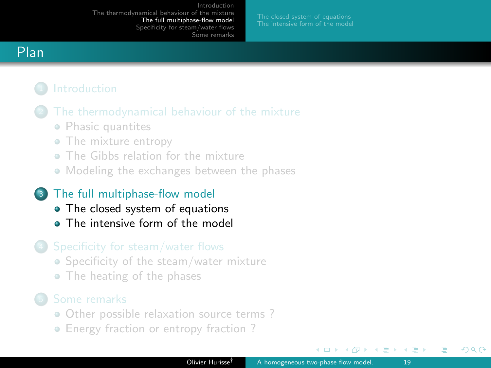# <span id="page-18-0"></span>Plan

- - [Phasic quantites](#page-5-0)
	- [The mixture entropy](#page-8-0)
	- [The Gibbs relation for the mixture](#page-10-0)
	- [Modeling the exchanges between the phases](#page-14-0)

# <sup>3</sup> [The full multiphase-flow model](#page-18-0)

- [The closed system of equations](#page-19-0)
- **[The intensive form of the model](#page-21-0)**

# <sup>4</sup> [Specificity for steam/water flows](#page-26-0)

- [Specificity of the steam/water mixture](#page-27-0)
- [The heating of the phases](#page-31-0)

- [Other possible relaxation source terms ?](#page-35-0)
- [Energy fraction or entropy fraction ?](#page-41-0)

 $\Box$ 

ミメスミメ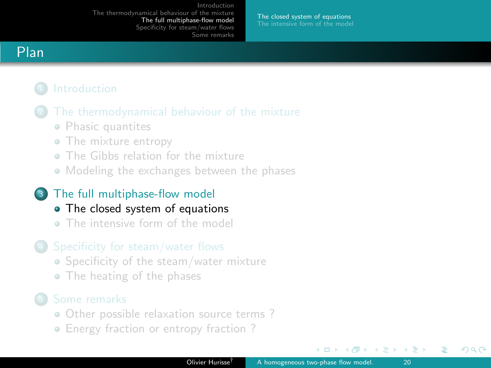[The closed system of equations](#page-19-0)

# <span id="page-19-0"></span>Plan

- - [Phasic quantites](#page-5-0)
	- [The mixture entropy](#page-8-0)
	- [The Gibbs relation for the mixture](#page-10-0)
	- [Modeling the exchanges between the phases](#page-14-0)

### <sup>3</sup> [The full multiphase-flow model](#page-18-0)

- [The closed system of equations](#page-19-0)
- **[The intensive form of the model](#page-21-0)**

### <sup>4</sup> [Specificity for steam/water flows](#page-26-0)

- [Specificity of the steam/water mixture](#page-27-0)
- [The heating of the phases](#page-31-0)

- [Other possible relaxation source terms ?](#page-35-0)
- [Energy fraction or entropy fraction ?](#page-41-0)

 $\leftarrow$   $\Box$ 

ほう メラう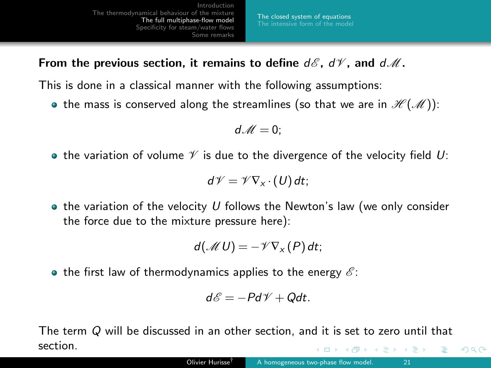[The closed system of equations](#page-19-0)

From the previous section, it remains to define  $d\mathscr{E}$ ,  $d\mathscr{V}$ , and  $d\mathscr{M}$ .

This is done in a classical manner with the following assumptions:

• the mass is conserved along the streamlines (so that we are in  $\mathcal{H}(\mathcal{M})$ ):

$$
d\mathscr{M}=0;
$$

• the variation of volume  $\mathcal V$  is due to the divergence of the velocity field U:

$$
d\mathscr{V}=\mathscr{V}\nabla_{x}\cdot(U)\,dt;
$$

 $\bullet$  the variation of the velocity U follows the Newton's law (we only consider the force due to the mixture pressure here):

$$
d(\mathcal{M} U) = -\mathcal{V}\nabla_{X}(P) dt;
$$

• the first law of thermodynamics applies to the energy  $\mathscr{E}$ :

$$
d\mathscr{E}=-Pd\mathscr{V}+Qdt.
$$

The term Q will be discussed in an other section, and it is set to zero until that section.  $-10<sup>-1</sup>$ ミメスミメ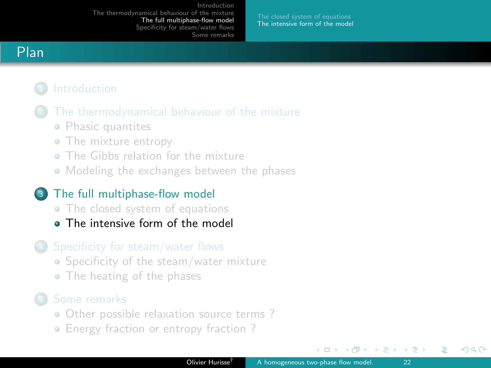[The intensive form of the model](#page-21-0)

# <span id="page-21-0"></span>Plan

- [Phasic quantites](#page-5-0)
- [The mixture entropy](#page-8-0)
- [The Gibbs relation for the mixture](#page-10-0)
- [Modeling the exchanges between the phases](#page-14-0)

## <sup>3</sup> [The full multiphase-flow model](#page-18-0)

- [The closed system of equations](#page-19-0)
- **[The intensive form of the model](#page-21-0)**

## <sup>4</sup> [Specificity for steam/water flows](#page-26-0)

- [Specificity of the steam/water mixture](#page-27-0)
- [The heating of the phases](#page-31-0)

- [Other possible relaxation source terms ?](#page-35-0)
- [Energy fraction or entropy fraction ?](#page-41-0)

 $\leftarrow$   $\Box$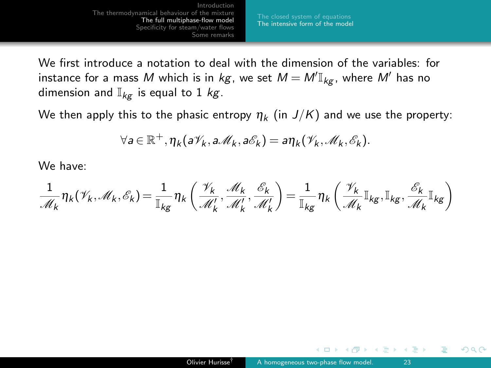[The intensive form of the model](#page-21-0)

We first introduce a notation to deal with the dimension of the variables: for instance for a mass  $M$  which is in  $\mathit{kg}$ , we set  $M = M' \mathbb{I}_{\mathit{kg}}$ , where  $M'$  has no dimension and  $\mathbb{I}_{kq}$  is equal to 1 kg.

We then apply this to the phasic entropy  $\eta_k$  (in  $J/K$ ) and we use the property:

$$
\forall a \in \mathbb{R}^+, \eta_k(a\mathscr{V}_k, a\mathscr{M}_k, a\mathscr{E}_k) = a\eta_k(\mathscr{V}_k, \mathscr{M}_k, \mathscr{E}_k).
$$

We have:

$$
\frac{1}{\mathscr{M}_k}\eta_k(\mathscr{V}_k,\mathscr{M}_k,\mathscr{E}_k)=\frac{1}{\mathbb{I}_{kg}}\eta_k\left(\frac{\mathscr{V}_k}{\mathscr{M}'_k},\frac{\mathscr{M}_k}{\mathscr{M}'_k},\frac{\mathscr{E}_k}{\mathscr{M}'_k}\right)=\frac{1}{\mathbb{I}_{kg}}\eta_k\left(\frac{\mathscr{V}_k}{\mathscr{M}_k}\mathbb{I}_{kg},\mathbb{I}_{kg},\frac{\mathscr{E}_k}{\mathscr{M}_k}\mathbb{I}_{kg}\right)
$$

 $\leftarrow$   $\Box$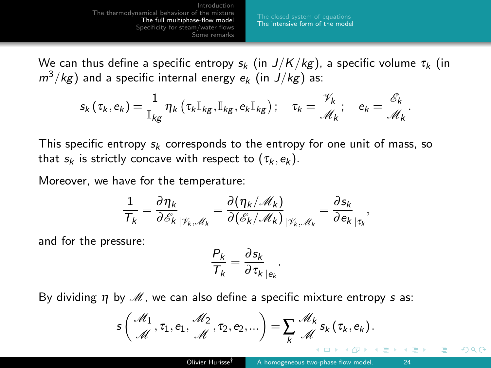[The intensive form of the model](#page-21-0)

We can thus define a specific entropy  $s_k$  (in  $J/K/kg$ ), a specific volume  $\tau_k$  (in  $m^3/kg$ ) and a specific internal energy  $e_k$  (in  $J/kg$ ) as:

$$
s_k(\tau_k, e_k) = \frac{1}{\mathbb{I}_{kg}} \eta_k(\tau_k \mathbb{I}_{kg}, \mathbb{I}_{kg}, e_k \mathbb{I}_{kg}): \quad \tau_k = \frac{\mathscr{V}_k}{\mathscr{M}_k}; \quad e_k = \frac{\mathscr{E}_k}{\mathscr{M}_k}.
$$

This specific entropy  $s_k$  corresponds to the entropy for one unit of mass, so that  $s_k$  is strictly concave with respect to  $(\tau_k, e_k)$ .

Moreover, we have for the temperature:

$$
\frac{1}{T_k} = \frac{\partial \eta_k}{\partial \mathscr{E}_k} \frac{1}{|\mathscr{V}_k \mathscr{M}_k} = \frac{\partial (\eta_k/\mathscr{M}_k)}{\partial (\mathscr{E}_k/\mathscr{M}_k)} \frac{1}{|\mathscr{V}_k \mathscr{M}_k} = \frac{\partial s_k}{\partial e_k} \frac{1}{|\tau_k|}
$$

and for the pressure:

$$
\frac{P_k}{T_k} = \frac{\partial s_k}{\partial \tau_k}\Big|_{e_k}
$$

By dividing  $\eta$  by  $\mathcal M$ , we can also define a specific mixture entropy s as:

$$
s\left(\frac{\mathcal{M}_1}{\mathcal{M}},\tau_1,e_1,\frac{\mathcal{M}_2}{\mathcal{M}},\tau_2,e_2,...\right)=\sum_k\frac{\mathcal{M}_k}{\mathcal{M}}s_k(\tau_k,e_k).
$$

.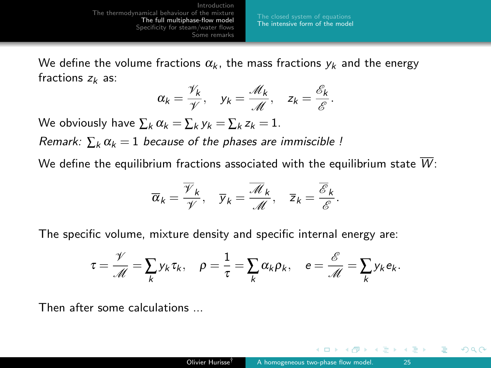We define the volume fractions  $\alpha_k$ , the mass fractions  $y_k$  and the energy fractions  $z_k$  as:

$$
\alpha_k = \frac{\gamma_k}{\gamma}
$$
,  $y_k = \frac{\mathcal{M}_k}{\mathcal{M}}$ ,  $z_k = \frac{\mathcal{E}_k}{\mathcal{E}}$ .

We obviously have  $\sum_k \alpha_k = \sum_k y_k = \sum_k z_k = 1$ .

Remark:  $\sum_{k} \alpha_k = 1$  because of the phases are immiscible !

We define the equilibrium fractions associated with the equilibrium state  $\overline{W}$ :

$$
\overline{\alpha}_k = \frac{\overline{\mathscr{V}}_k}{\mathscr{V}}, \quad \overline{\mathscr{Y}}_k = \frac{\overline{\mathscr{M}}_k}{\mathscr{M}}, \quad \overline{\mathsf{z}}_k = \frac{\overline{\mathscr{E}}_k}{\mathscr{E}}.
$$

The specific volume, mixture density and specific internal energy are:

$$
\tau = \frac{\mathcal{V}}{\mathcal{M}} = \sum_k y_k \tau_k, \quad \rho = \frac{1}{\tau} = \sum_k \alpha_k \rho_k, \quad e = \frac{\mathcal{E}}{\mathcal{M}} = \sum_k y_k e_k.
$$

Then after some calculations ...

 $\leftarrow$   $\Box$ 

きょうきょ

つへへ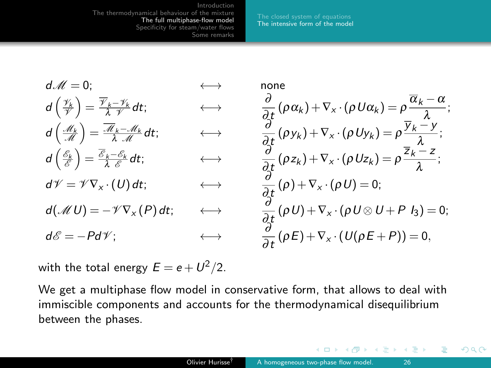[The intensive form of the model](#page-21-0)

<span id="page-25-0"></span>
$$
d\mathcal{M} = 0; \qquad \Longleftrightarrow \qquad \text{none}
$$
\n
$$
d\left(\frac{\mathcal{H}_k}{\mathcal{V}}\right) = \frac{\overline{\mathcal{V}}_k - \mathcal{V}_k}{\lambda \mathcal{V}} dt; \qquad \Longleftrightarrow \qquad \frac{\partial}{\partial t} (\rho \alpha_k) + \nabla_x \cdot (\rho U \alpha_k) = \rho \frac{\overline{\alpha}_k - \alpha}{\lambda};
$$
\n
$$
d\left(\frac{\mathcal{A}_k}{\mathcal{M}}\right) = \frac{\overline{\mathcal{M}}_k - \mathcal{M}_k}{\lambda \mathcal{M}} dt; \qquad \Longleftrightarrow \qquad \frac{\partial}{\partial t} (\rho \gamma_k) + \nabla_x \cdot (\rho U \gamma_k) = \rho \frac{\overline{\alpha}_k - \gamma}{\lambda};
$$
\n
$$
d\left(\frac{\mathcal{E}_k}{\mathcal{E}}\right) = \frac{\overline{\mathcal{E}}_k - \mathcal{E}_k}{\lambda \mathcal{E}} dt; \qquad \Longleftrightarrow \qquad \frac{\partial}{\partial t} (\rho z_k) + \nabla_x \cdot (\rho U z_k) = \rho \frac{\overline{\alpha}_k - \gamma}{\lambda};
$$
\n
$$
d\mathcal{V} = \mathcal{V} \nabla_x \cdot (U) dt; \qquad \Longleftrightarrow \qquad \frac{\partial}{\partial t} (\rho + \nabla_x \cdot (\rho U) = 0;
$$
\n
$$
d(\mathcal{M} U) = -\mathcal{V} \nabla_x (P) dt; \qquad \Longleftrightarrow \qquad \frac{\partial}{\partial t} (\rho U) + \nabla_x \cdot (\rho U \otimes U + P I_3) = 0;
$$
\n
$$
d\mathcal{E} = -P d\mathcal{V}; \qquad \Longleftrightarrow \qquad \frac{\partial}{\partial t} (\rho E) + \nabla_x \cdot (U(\rho E + P)) = 0,
$$

with the total energy  $E = e + U^2/2.$ 

We get a multiphase flow model in conservative form, that allows to deal with immiscible components and accounts for the thermodynamical disequilibrium between the phases.

 $\leftarrow$   $\Box$ 

 $\lambda$  =  $\lambda$ 

 $\equiv$   $\rightarrow$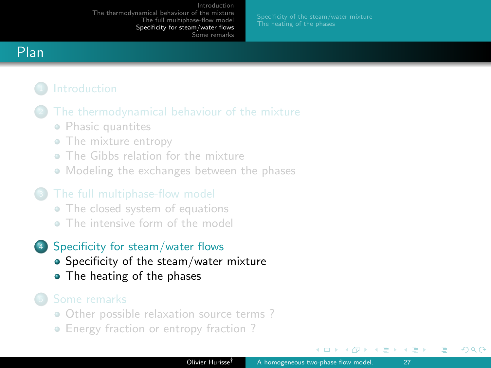# <span id="page-26-0"></span>Plan

- [Phasic quantites](#page-5-0)
- [The mixture entropy](#page-8-0)
- [The Gibbs relation for the mixture](#page-10-0)
- [Modeling the exchanges between the phases](#page-14-0)

- [The closed system of equations](#page-19-0)
- **[The intensive form of the model](#page-21-0)**

# <sup>4</sup> [Specificity for steam/water flows](#page-26-0)

- [Specificity of the steam/water mixture](#page-27-0)
- [The heating of the phases](#page-31-0)

- [Other possible relaxation source terms ?](#page-35-0)
- Energy fraction or entropy fraction?

 $\Box$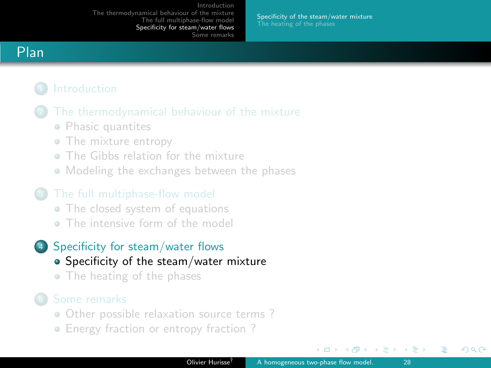[Specificity of the steam/water mixture](#page-27-0)

# <span id="page-27-0"></span>Plan

- [Phasic quantites](#page-5-0)
- [The mixture entropy](#page-8-0)
- [The Gibbs relation for the mixture](#page-10-0)
- [Modeling the exchanges between the phases](#page-14-0)

- [The closed system of equations](#page-19-0)
- **[The intensive form of the model](#page-21-0)**

## <sup>4</sup> [Specificity for steam/water flows](#page-26-0)

## • [Specificity of the steam/water mixture](#page-27-0)

• [The heating of the phases](#page-31-0)

- [Other possible relaxation source terms ?](#page-35-0)
- Energy fraction or entropy fraction?

 $\Box$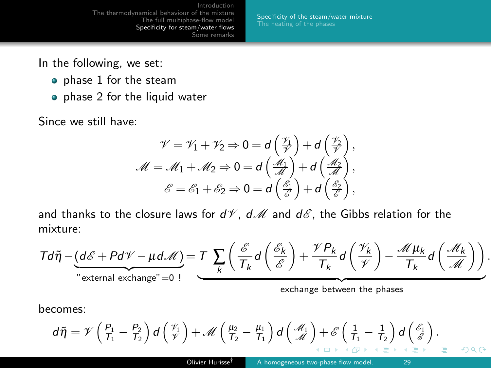[Specificity of the steam/water mixture](#page-27-0)

In the following, we set:

- phase 1 for the steam
- phase 2 for the liquid water

Since we still have:

$$
\mathscr{V} = \mathscr{V}_1 + \mathscr{V}_2 \Rightarrow 0 = d\left(\frac{\mathscr{V}_1}{\mathscr{V}}\right) + d\left(\frac{\mathscr{V}_2}{\mathscr{V}}\right),
$$
  

$$
\mathscr{M} = \mathscr{M}_1 + \mathscr{M}_2 \Rightarrow 0 = d\left(\frac{\mathscr{M}_1}{\mathscr{M}}\right) + d\left(\frac{\mathscr{M}_2}{\mathscr{M}}\right),
$$
  

$$
\mathscr{E} = \mathscr{E}_1 + \mathscr{E}_2 \Rightarrow 0 = d\left(\frac{\mathscr{E}_1}{\mathscr{E}}\right) + d\left(\frac{\mathscr{E}_2}{\mathscr{E}}\right),
$$

and thanks to the closure laws for  $dV$ ,  $dM$  and  $d\mathscr{E}$ , the Gibbs relation for the mixture:

$$
T d\tilde{\eta} - \underbrace{(d\mathscr{E} + P d\mathscr{V} - \mu d\mathscr{M})}_{\text{external exchange}^{\text{''}} = 0} = T \sum_{k} \left( \frac{\mathscr{E}}{T_k} d\left(\frac{\mathscr{E}_k}{\mathscr{E}}\right) + \frac{\mathscr{V} P_k}{T_k} d\left(\frac{\mathscr{V}_k}{\mathscr{V}}\right) - \frac{\mathscr{M} \mu_k}{T_k} d\left(\frac{\mathscr{M}_k}{\mathscr{M}}\right) \right).
$$

becomes:

$$
d\widetilde{\eta} = \mathscr{V}\left(\frac{P_1}{T_1} - \frac{P_2}{T_2}\right)d\left(\frac{\mathscr{V}_1}{\mathscr{V}}\right) + \mathscr{M}\left(\frac{\mu_2}{T_2} - \frac{\mu_1}{T_1}\right)d\left(\frac{\mathscr{M}_1}{\mathscr{M}}\right) + \mathscr{E}\left(\frac{1}{T_1} - \frac{1}{T_2}\right)d\left(\frac{\mathscr{E}_1}{\mathscr{E}}\right).
$$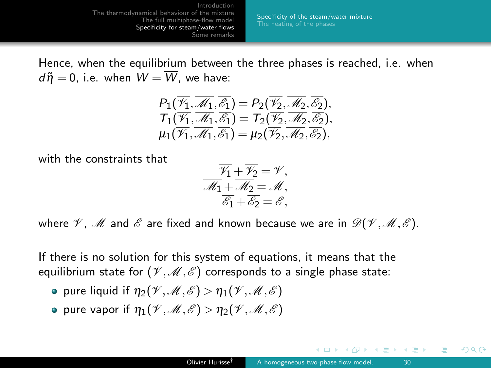[Specificity of the steam/water mixture](#page-27-0)

Hence, when the equilibrium between the three phases is reached, i.e. when  $d\tilde{\eta} = 0$ , i.e. when  $W = \overline{W}$ , we have:

$$
P_1(\overline{\mathscr{V}_1},\overline{\mathscr{M}_1},\overline{\mathscr{E}_1})=P_2(\overline{\mathscr{V}_2},\overline{\mathscr{M}_2},\overline{\mathscr{E}_2}),T_1(\overline{\mathscr{V}_1},\overline{\mathscr{M}_1},\overline{\mathscr{E}_1})=T_2(\overline{\mathscr{V}_2},\overline{\mathscr{M}_2},\overline{\mathscr{E}_2}),\mu_1(\overline{\mathscr{V}_1},\overline{\mathscr{M}_1},\overline{\mathscr{E}_1})=\mu_2(\overline{\mathscr{V}_2},\overline{\mathscr{M}_2},\overline{\mathscr{E}_2}),
$$

with the constraints that

$$
\overline{\mathscr{W}}_1 + \overline{\mathscr{W}}_2 = \mathscr{V}, \n\overline{\mathscr{M}}_1 + \overline{\mathscr{M}}_2 = \mathscr{M}, \n\overline{\mathscr{E}}_1 + \overline{\mathscr{E}}_2 = \mathscr{E},
$$

where  $\mathscr V$ ,  $\mathscr M$  and  $\mathscr E$  are fixed and known because we are in  $\mathscr D(\mathscr V,\mathscr M,\mathscr E)$ .

If there is no solution for this system of equations, it means that the equilibrium state for  $(\mathcal{V},\mathcal{M},\mathcal{E})$  corresponds to a single phase state:

- pure liquid if  $\eta_2(\mathcal{V},\mathcal{M},\mathcal{E}) > \eta_1(\mathcal{V},\mathcal{M},\mathcal{E})$
- pure vapor if  $\eta_1(\mathcal{V},\mathcal{M},\mathcal{E}) > \eta_2(\mathcal{V},\mathcal{M},\mathcal{E})$

ミメ メミメ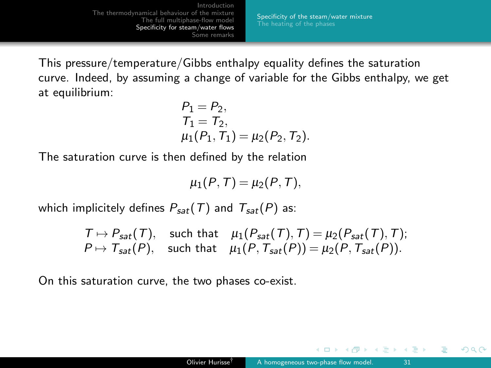[Specificity of the steam/water mixture](#page-27-0)

<span id="page-30-0"></span>This pressure/temperature/Gibbs enthalpy equality defines the saturation curve. Indeed, by assuming a change of variable for the Gibbs enthalpy, we get at equilibrium:

$$
P_1 = P_2,T_1 = T_2,\n\mu_1(P_1, T_1) = \mu_2(P_2, T_2).
$$

The saturation curve is then defined by the relation

 $\mu_1(P, T) = \mu_2(P, T),$ 

which implicitely defines  $P_{sat}(T)$  and  $T_{sat}(P)$  as:

$$
T \mapsto P_{sat}(T), \text{ such that } \mu_1(P_{sat}(T), T) = \mu_2(P_{sat}(T), T);
$$
  

$$
P \mapsto T_{sat}(P), \text{ such that } \mu_1(P, T_{sat}(P)) = \mu_2(P, T_{sat}(P)).
$$

On this saturation curve, the two phases co-exist.

 $\leftarrow$   $\Box$ 

ヨメ イヨメ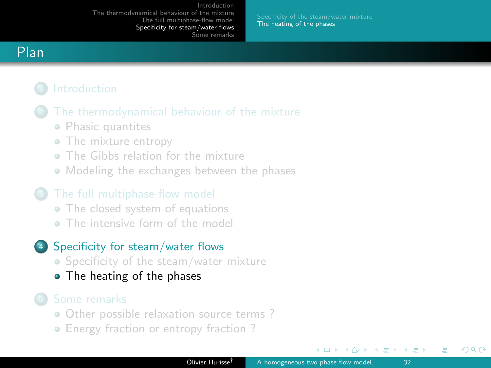[The heating of the phases](#page-31-0)

# <span id="page-31-0"></span>Plan

- - [Phasic quantites](#page-5-0)
	- [The mixture entropy](#page-8-0)
	- [The Gibbs relation for the mixture](#page-10-0)
	- [Modeling the exchanges between the phases](#page-14-0)

- [The closed system of equations](#page-19-0)
- **[The intensive form of the model](#page-21-0)**

## <sup>4</sup> [Specificity for steam/water flows](#page-26-0)

- [Specificity of the steam/water mixture](#page-27-0)
- [The heating of the phases](#page-31-0)

- [Other possible relaxation source terms ?](#page-35-0)
- Energy fraction or entropy fraction?

 $\Box$ 

ほう メラう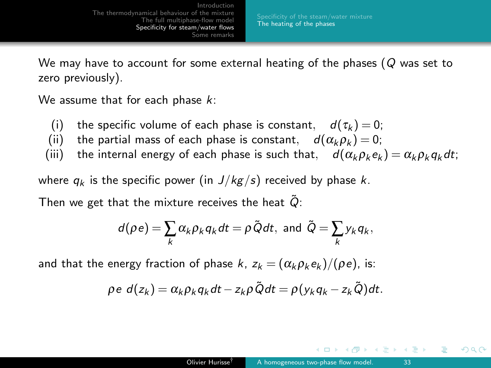<span id="page-32-0"></span>We may have to account for some external heating of the phases ( $Q$  was set to zero previously).

We assume that for each phase  $k$ :

- (i) the specific volume of each phase is constant,  $d(\tau_k) = 0$ ;
- (ii) the partial mass of each phase is constant,  $d(\alpha_k \rho_k) = 0$ ;<br>(iii) the internal energy of each phase is such that.  $d(\alpha_k \rho_k) = 0$ ;
- the internal energy of each phase is such that,  $d(\alpha_k \rho_k e_k) = \alpha_k \rho_k q_k dt$ ;

where  $q_k$  is the specific power (in  $J/kg/s$ ) received by phase k.

Then we get that the mixture receives the heat  $Q$ :

$$
d(\rho e) = \sum_{k} \alpha_{k} \rho_{k} q_{k} dt = \rho \tilde{Q} dt, \text{ and } \tilde{Q} = \sum_{k} y_{k} q_{k},
$$

and that the energy fraction of phase k,  $z_k = (\alpha_k \rho_k e_k)/(\rho e)$ , is:

$$
\rho e \, d(z_k) = \alpha_k \rho_k q_k dt - z_k \rho \tilde{Q} dt = \rho (y_k q_k - z_k \tilde{Q}) dt.
$$

イヨメ イヨメ

 $209$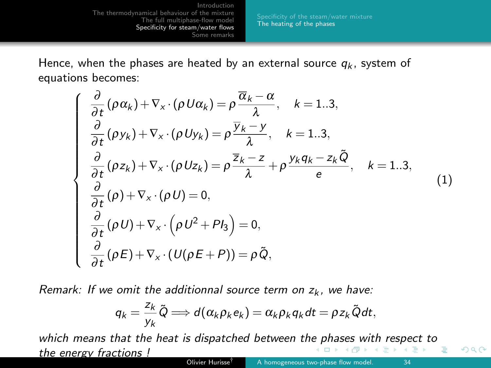[The heating of the phases](#page-31-0)

<span id="page-33-0"></span>Hence, when the phases are heated by an external source  $q_k$ , system of equations becomes:

$$
\begin{cases}\n\frac{\partial}{\partial t} (\rho \alpha_k) + \nabla_x \cdot (\rho U \alpha_k) = \rho \frac{\overline{\alpha}_k - \alpha}{\lambda}, \quad k = 1..3, \\
\frac{\partial}{\partial t} (\rho y_k) + \nabla_x \cdot (\rho U y_k) = \rho \frac{\overline{y}_k - y}{\lambda}, \quad k = 1..3, \\
\frac{\partial}{\partial t} (\rho z_k) + \nabla_x \cdot (\rho U z_k) = \rho \frac{\overline{z}_k - z}{\lambda} + \rho \frac{y_k q_k - z_k \tilde{Q}}{e}, \quad k = 1..3, \\
\frac{\partial}{\partial t} (\rho) + \nabla_x \cdot (\rho U) = 0, \\
\frac{\partial}{\partial t} (\rho U) + \nabla_x \cdot (\rho U^2 + P I_3) = 0, \\
\frac{\partial}{\partial t} (\rho E) + \nabla_x \cdot (U(\rho E + P)) = \rho \tilde{Q},\n\end{cases}
$$
\n(1)

Remark: If we omit the additionnal source term on  $z_k$ , we have:

$$
q_k = \frac{z_k}{y_k} \tilde{Q} \Longrightarrow d(\alpha_k \rho_k e_k) = \alpha_k \rho_k q_k dt = \rho z_k \tilde{Q} dt,
$$

which means that the heat is dispatched between th[e p](#page-32-0)[has](#page-34-0)[e](#page-32-0)[s w](#page-33-0)[i](#page-34-0)[th](#page-30-0)[re](#page-33-0)[s](#page-34-0)[p](#page-25-0)[ec](#page-26-0)[t](#page-33-0) [t](#page-34-0)[o](#page-0-0) the energy fractions !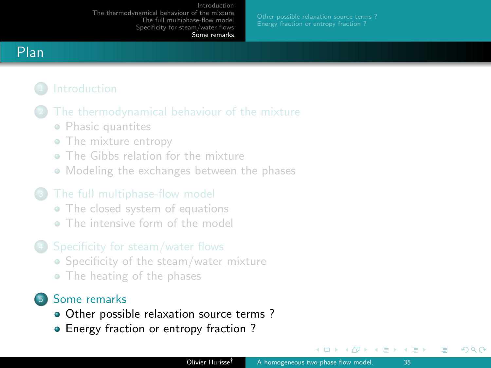[Other possible relaxation source terms ?](#page-35-0)

# <span id="page-34-0"></span>Plan

- [Phasic quantites](#page-5-0)
- [The mixture entropy](#page-8-0)
- [The Gibbs relation for the mixture](#page-10-0)
- [Modeling the exchanges between the phases](#page-14-0)

- [The closed system of equations](#page-19-0)
- **[The intensive form of the model](#page-21-0)**

### <sup>4</sup> [Specificity for steam/water flows](#page-26-0)

- [Specificity of the steam/water mixture](#page-27-0)
- [The heating of the phases](#page-31-0)

# <sup>5</sup> [Some remarks](#page-34-0)

- [Other possible relaxation source terms ?](#page-35-0)
- [Energy fraction or entropy fraction ?](#page-41-0)

 $\Box$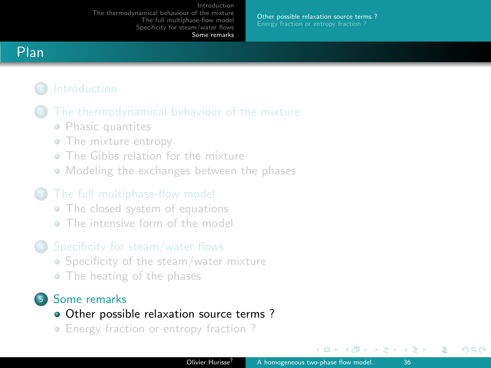[Other possible relaxation source terms ?](#page-35-0)

# <span id="page-35-0"></span>Plan

- [Phasic quantites](#page-5-0)
- [The mixture entropy](#page-8-0)
- [The Gibbs relation for the mixture](#page-10-0)
- [Modeling the exchanges between the phases](#page-14-0)

- [The closed system of equations](#page-19-0)
- **[The intensive form of the model](#page-21-0)**

### <sup>4</sup> [Specificity for steam/water flows](#page-26-0)

- [Specificity of the steam/water mixture](#page-27-0)
- [The heating of the phases](#page-31-0)

# <sup>5</sup> [Some remarks](#page-34-0)

- [Other possible relaxation source terms ?](#page-35-0)
- Energy fraction or entropy fraction?

 $\leftarrow$   $\Box$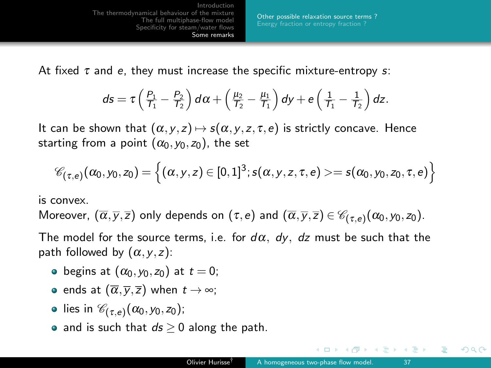[Introduction](#page-2-0) [The thermodynamical behaviour of the mixture](#page-4-0) [The full multiphase-flow model](#page-18-0) [Specificity for steam/water flows](#page-26-0) [Some remarks](#page-34-0) [Other possible relaxation source terms ?](#page-35-0)

At fixed  $\tau$  and e, they must increase the specific mixture-entropy s:

$$
ds = \tau \left(\frac{P_1}{T_1} - \frac{P_2}{T_2}\right) d\alpha + \left(\frac{\mu_2}{T_2} - \frac{\mu_1}{T_1}\right) dy + e\left(\frac{1}{T_1} - \frac{1}{T_2}\right) dz.
$$

It can be shown that  $(\alpha, y, z) \mapsto s(\alpha, y, z, \tau, e)$  is strictly concave. Hence starting from a point  $(\alpha_0, y_0, z_0)$ , the set

$$
\mathscr{C}_{(\tau,e)}(\alpha_0,y_0,z_0)=\left\{(\alpha,y,z)\in[0,1]^3;s(\alpha,y,z,\tau,e)>=s(\alpha_0,y_0,z_0,\tau,e)\right\}
$$

is convex.

Moreover,  $(\overline{\alpha},\overline{y},\overline{z})$  only depends on  $(\tau,e)$  and  $(\overline{\alpha},\overline{y},\overline{z})\in \mathscr{C}_{(\tau,e)}(\alpha_0,y_0,z_0).$ 

The model for the source terms, i.e. for  $d\alpha$ ,  $dy$ ,  $dz$  must be such that the path followed by  $(\alpha, y, z)$ :

- begins at  $(\alpha_0, \gamma_0, z_0)$  at  $t = 0$ ;
- ends at  $(\overline{\alpha}, \overline{y}, \overline{z})$  when  $t \to \infty$ ;
- lies in  $\mathscr{C}_{(\tau,e)}(\alpha_0,y_0,z_0)$ ;
- and is such that  $ds \geq 0$  along the path.

イヨメ イヨメ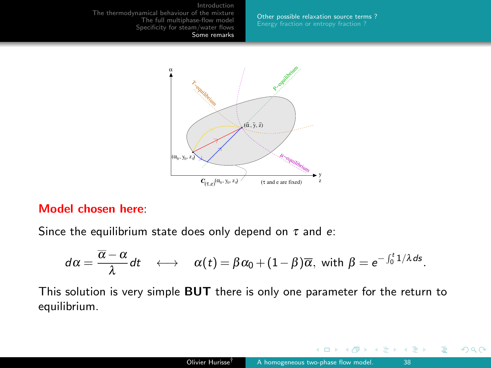[Other possible relaxation source terms ?](#page-35-0)



### Model chosen here:

Since the equilibrium state does only depend on  $\tau$  and  $e$ :

$$
d\alpha=\frac{\overline{\alpha}-\alpha}{\lambda}dt \quad \longleftrightarrow \quad \alpha(t)=\beta\alpha_0+(1-\beta)\overline{\alpha}, \text{ with } \beta=e^{-\int_0^t 1/\lambda ds}.
$$

This solution is very simple BUT there is only one parameter for the return to equilibrium.

4 **D** >

 $QQ$ 

する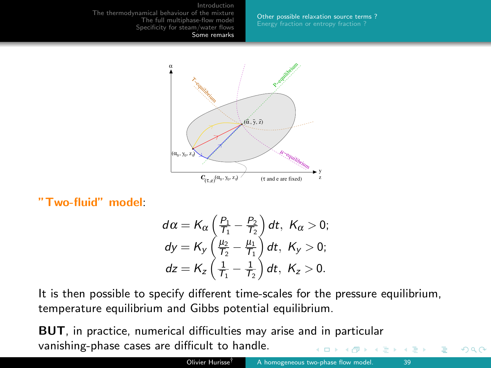[Other possible relaxation source terms ?](#page-35-0)



"Two-fluid" model:

$$
d\alpha = K_{\alpha} \left( \frac{P_1}{T_1} - \frac{P_2}{T_2} \right) dt, K_{\alpha} > 0;
$$
  
\n
$$
dy = K_{y} \left( \frac{\mu_2}{T_2} - \frac{\mu_1}{T_1} \right) dt, K_{y} > 0;
$$
  
\n
$$
dz = K_{z} \left( \frac{1}{T_1} - \frac{1}{T_2} \right) dt, K_{z} > 0.
$$

It is then possible to specify different time-scales for the pressure equilibrium, temperature equilibrium and Gibbs potential equilibrium.

BUT, in practice, numerical difficulties may arise and in particular vanishing-phase cases are difficult to handle.

∢ ∃ »

 $299$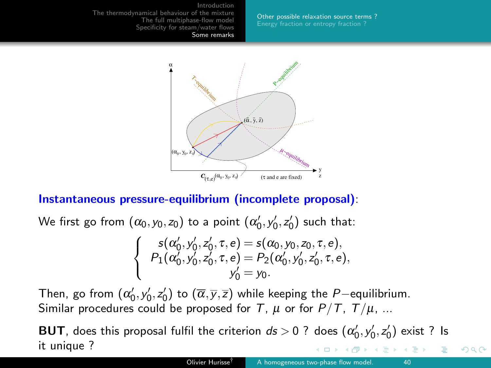[Other possible relaxation source terms ?](#page-35-0)



### Instantaneous pressure-equilibrium (incomplete proposal):

We first go from  $(\alpha_0, y_0, z_0)$  to a point  $(\alpha_0', y_0', z_0')$  such that:

$$
\begin{cases}\ns(\alpha'_0, y'_0, z'_0, \tau, e) = s(\alpha_0, y_0, z_0, \tau, e), \\
P_1(\alpha'_0, y'_0, z'_0, \tau, e) = P_2(\alpha'_0, y'_0, z'_0, \tau, e), \\
y'_0 = y_0.\n\end{cases}
$$

Then, go from  $(\alpha_0', y_0', z_0')$  to  $(\overline{\alpha}, \overline{y}, \overline{z})$  while keeping the  $P-$ equilibrium. Similar procedures could be proposed for T,  $\mu$  or for  $P/T$ ,  $T/\mu$ , ...

**BUT**, does this proposal fulfil the criterion  $ds > 0$  ? does  $(\alpha'_0, y'_0, z'_0)$  exist ? Is it unique ? モミッ  $\leftarrow$   $\Box$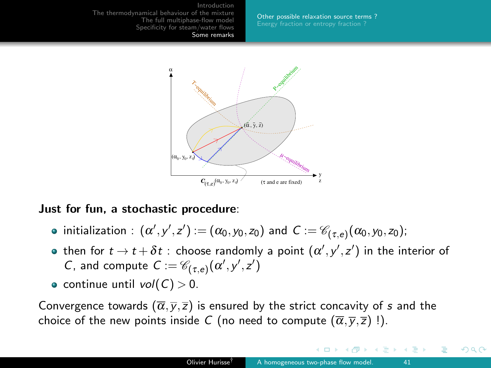[Other possible relaxation source terms ?](#page-35-0)



### Just for fun, a stochastic procedure:

- initialization  $:$   $(\alpha', y', z') := (\alpha_0, y_0, z_0)$  and  $C := \mathscr{C}_{(\tau,e)}(\alpha_0, y_0, z_0);$
- then for  $t \to t + \delta t$  : choose randomly a point  $(\alpha', y', z')$  in the interior of C, and compute  $C := \mathscr{C}_{(\tau,e)}(\alpha',y',z')$
- continue until  $vol(C) > 0$ .

Convergence towards  $(\overline{\alpha}, \overline{y}, \overline{z})$  is ensured by the strict concavity of s and the choice of the new points inside C (no need to compute  $(\overline{\alpha}, \overline{y}, \overline{z})$  !).

 $\Box$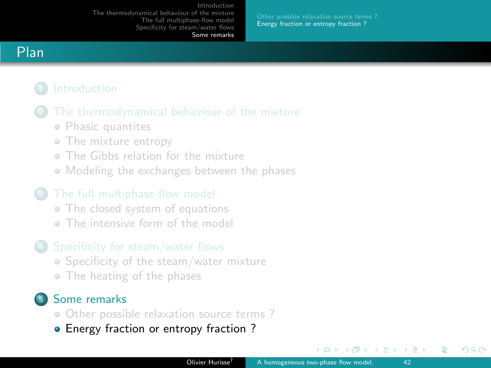[Other possible relaxation source terms ?](#page-35-0) [Energy fraction or entropy fraction ?](#page-41-0)

# <span id="page-41-0"></span>Plan

- [Phasic quantites](#page-5-0)
- [The mixture entropy](#page-8-0)
- [The Gibbs relation for the mixture](#page-10-0)
- [Modeling the exchanges between the phases](#page-14-0)

- [The closed system of equations](#page-19-0)
- **[The intensive form of the model](#page-21-0)**

### <sup>4</sup> [Specificity for steam/water flows](#page-26-0)

- [Specificity of the steam/water mixture](#page-27-0)
- [The heating of the phases](#page-31-0)

# <sup>5</sup> [Some remarks](#page-34-0)

- [Other possible relaxation source terms ?](#page-35-0)
- [Energy fraction or entropy fraction ?](#page-41-0)

 $\Box$ 

ほう メラう